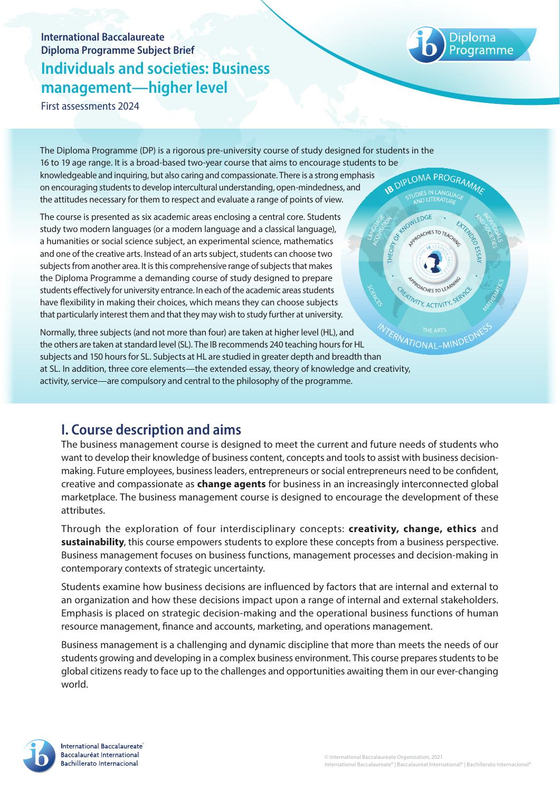# **International Baccalaureate Diploma Programme Subject Brief Individuals and societies: Business management—higher level**

THEORY

**ATIVITY, ACTIVITY, SF** 

**MIND** 

First assessments 2024

The Diploma Programme (DP) is a rigorous pre-university course of study designed for students in the 16 to 19 age range. It is a broad-based two-year course that aims to encourage students to be knowledgeable and inquiring, but also caring and compassionate. There is a strong emphasis **B DIPLOMA PROGRAMMA** on encouraging students to develop intercultural understanding, open-mindedness, and the attitudes necessary for them to respect and evaluate a range of points of view. A OWLEDGE

a humanities or social science subject, an experimental science, mathematics and one of the creative arts. Instead of an arts subject, students can choose two subjects from another area. It is this comprehensive range of subjects that makes the Diploma Programme a demanding course of study designed to prepare students effectively for university entrance. In each of the academic areas students have flexibility in making their choices, which means they can choose subjects that particularly interest them and that they may wish to study further at university. The course is presented as six academic areas enclosing a central core. Students study two modern languages (or a modern language and a classical language),

Normally, three subjects (and not more than four) are taken at higher level (HL), and the others are taken at standard level (SL). The IB recommends 240 teaching hours for HL Normally, three subjects (and not more than four) are taken at nighter reversing subjects are taken at standard level (SL). The IB recommends 240 teaching hours for HL<br>subjects and 150 hours for SL. Subjects at HL are stud at SL. In addition, three core elements—the extended essay, theory of knowledge and creativity, activity, service—are compulsory and central to the philosophy of the programme.

## **I. Course description and aims**

The business management course is designed to meet the current and future needs of students who want to develop their knowledge of business content, concepts and tools to assist with business decisionmaking. Future employees, business leaders, entrepreneurs or social entrepreneurs need to be confident, creative and compassionate as **change agents** for business in an increasingly interconnected global marketplace. The business management course is designed to encourage the development of these attributes.

Through the exploration of four interdisciplinary concepts: **creativity, change, ethics** and **sustainability**, this course empowers students to explore these concepts from a business perspective. Business management focuses on business functions, management processes and decision-making in contemporary contexts of strategic uncertainty.

Students examine how business decisions are influenced by factors that are internal and external to an organization and how these decisions impact upon a range of internal and external stakeholders. Emphasis is placed on strategic decision-making and the operational business functions of human resource management, finance and accounts, marketing, and operations management.

Business management is a challenging and dynamic discipline that more than meets the needs of our students growing and developing in a complex business environment. This course prepares students to be global citizens ready to face up to the challenges and opportunities awaiting them in our ever-changing world.

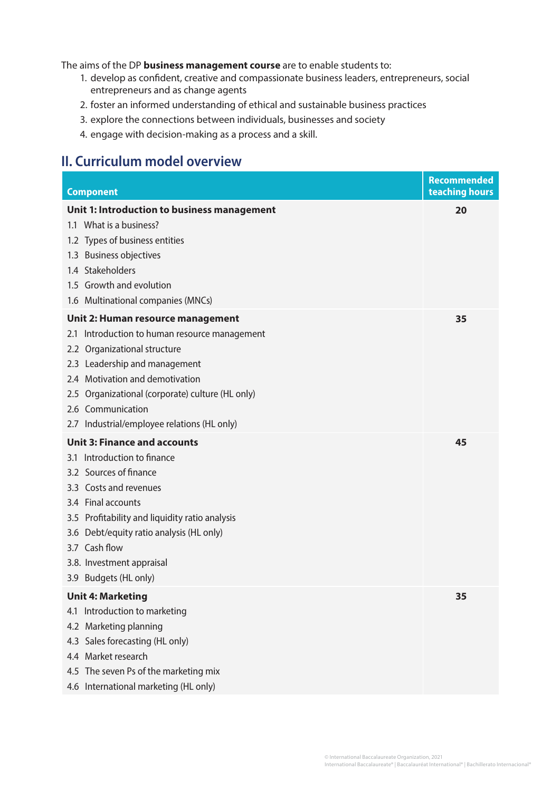The aims of the DP **business management course** are to enable students to:

- 1. develop as confident, creative and compassionate business leaders, entrepreneurs, social entrepreneurs and as change agents
- 2. foster an informed understanding of ethical and sustainable business practices
- 3. explore the connections between individuals, businesses and society
- 4. engage with decision-making as a process and a skill.

## **II. Curriculum model overview**

| <b>Component</b>                                 | Recommended<br>teaching hours |
|--------------------------------------------------|-------------------------------|
| Unit 1: Introduction to business management      | 20                            |
| 1.1 What is a business?                          |                               |
| 1.2 Types of business entities                   |                               |
| 1.3 Business objectives                          |                               |
| 1.4 Stakeholders                                 |                               |
| 1.5 Growth and evolution                         |                               |
| 1.6 Multinational companies (MNCs)               |                               |
| Unit 2: Human resource management                | 35                            |
| 2.1 Introduction to human resource management    |                               |
| 2.2 Organizational structure                     |                               |
| 2.3 Leadership and management                    |                               |
| 2.4 Motivation and demotivation                  |                               |
| 2.5 Organizational (corporate) culture (HL only) |                               |
| 2.6 Communication                                |                               |
| 2.7 Industrial/employee relations (HL only)      |                               |
| <b>Unit 3: Finance and accounts</b>              | 45                            |
| 3.1 Introduction to finance                      |                               |
| 3.2 Sources of finance                           |                               |
| 3.3 Costs and revenues                           |                               |
| 3.4 Final accounts                               |                               |
| 3.5 Profitability and liquidity ratio analysis   |                               |
| 3.6 Debt/equity ratio analysis (HL only)         |                               |
| 3.7 Cash flow                                    |                               |
| 3.8. Investment appraisal                        |                               |
| 3.9 Budgets (HL only)                            |                               |
| <b>Unit 4: Marketing</b>                         | 35                            |
| Introduction to marketing<br>4.1                 |                               |
| 4.2 Marketing planning                           |                               |
| 4.3 Sales forecasting (HL only)                  |                               |
| 4.4 Market research                              |                               |
| 4.5 The seven Ps of the marketing mix            |                               |
| 4.6 International marketing (HL only)            |                               |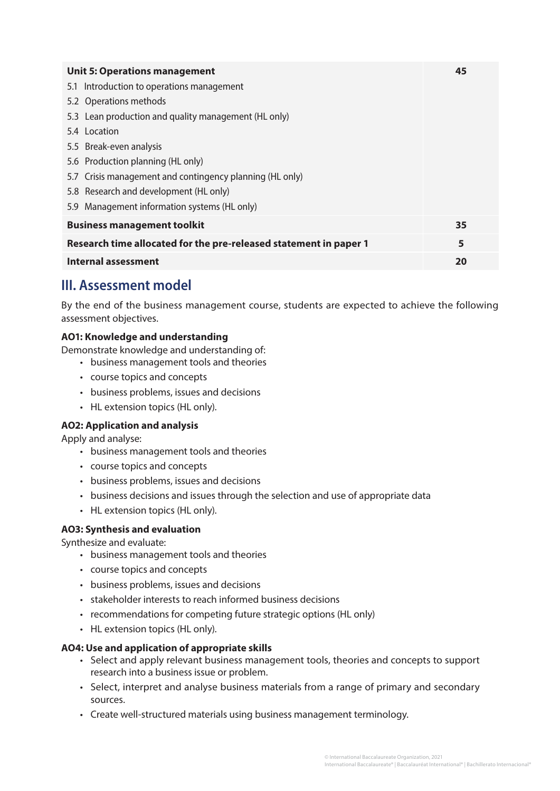| <b>Unit 5: Operations management</b>                              | 45 |
|-------------------------------------------------------------------|----|
| 5.1 Introduction to operations management                         |    |
| 5.2 Operations methods                                            |    |
| 5.3 Lean production and quality management (HL only)              |    |
| 5.4 Location                                                      |    |
| 5.5 Break-even analysis                                           |    |
| 5.6 Production planning (HL only)                                 |    |
| 5.7 Crisis management and contingency planning (HL only)          |    |
| 5.8 Research and development (HL only)                            |    |
| 5.9 Management information systems (HL only)                      |    |
| <b>Business management toolkit</b>                                | 35 |
| Research time allocated for the pre-released statement in paper 1 | 5  |
| <b>Internal assessment</b>                                        | 20 |

# **III. Assessment model**

By the end of the business management course, students are expected to achieve the following assessment objectives.

### **AO1: Knowledge and understanding**

Demonstrate knowledge and understanding of:

- business management tools and theories
- course topics and concepts
- business problems, issues and decisions
- HL extension topics (HL only).

#### **AO2: Application and analysis**

Apply and analyse:

- business management tools and theories
- course topics and concepts
- business problems, issues and decisions
- business decisions and issues through the selection and use of appropriate data
- HL extension topics (HL only).

#### **AO3: Synthesis and evaluation**

Synthesize and evaluate:

- business management tools and theories
- course topics and concepts
- business problems, issues and decisions
- stakeholder interests to reach informed business decisions
- recommendations for competing future strategic options (HL only)
- HL extension topics (HL only).

#### **AO4: Use and application of appropriate skills**

- Select and apply relevant business management tools, theories and concepts to support research into a business issue or problem.
- Select, interpret and analyse business materials from a range of primary and secondary sources.
- Create well-structured materials using business management terminology.